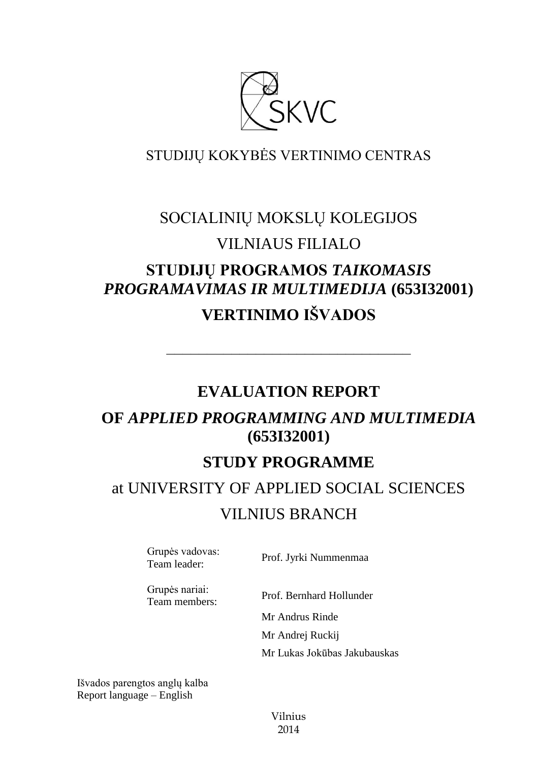

# STUDIJŲ KOKYBĖS VERTINIMO CENTRAS

# SOCIALINIŲ MOKSLŲ KOLEGIJOS VILNIAUS FILIALO

# **STUDIJŲ PROGRAMOS** *TAIKOMASIS PROGRAMAVIMAS IR MULTIMEDIJA* **(653I32001) VERTINIMO IŠVADOS**

# **EVALUATION REPORT**

––––––––––––––––––––––––––––––

# **OF** *APPLIED PROGRAMMING AND MULTIMEDIA* **(653I32001)**

# **STUDY PROGRAMME**

# at UNIVERSITY OF APPLIED SOCIAL SCIENCES VILNIUS BRANCH

Grupės vadovas:<br>Team leader:

Prof. Jyrki Nummenmaa

Grupės nariai: Team members: Prof. Bernhard Hollunder

Mr Andrus Rinde Mr Andrej Ruckij Mr Lukas Jokūbas Jakubauskas

Išvados parengtos anglų kalba Report language – English

> Vilnius 2014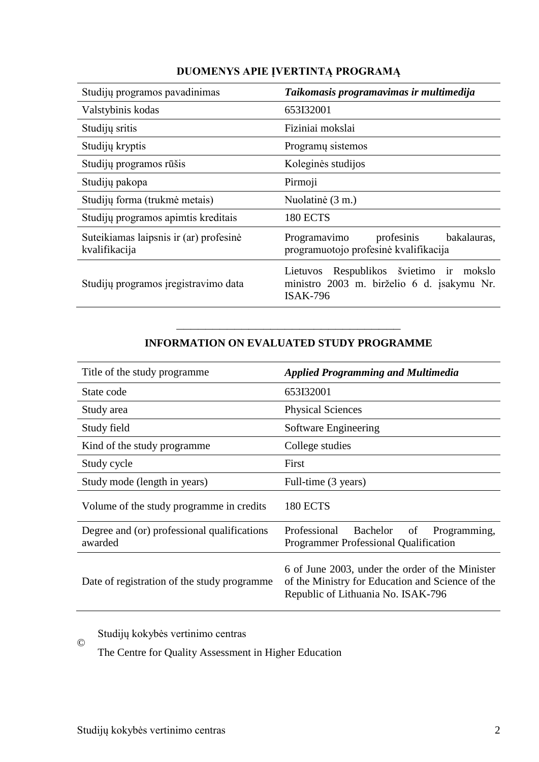| Studijų programos pavadinimas                           | Taikomasis programavimas ir multimedija                                                                     |
|---------------------------------------------------------|-------------------------------------------------------------------------------------------------------------|
| Valstybinis kodas                                       | 653I32001                                                                                                   |
| Studijų sritis                                          | Fiziniai mokslai                                                                                            |
| Studijų kryptis                                         | Programų sistemos                                                                                           |
| Studijų programos rūšis                                 | Koleginės studijos                                                                                          |
| Studijų pakopa                                          | Pirmoji                                                                                                     |
| Studijų forma (trukmė metais)                           | Nuolatinė (3 m.)                                                                                            |
| Studijų programos apimtis kreditais                     | <b>180 ECTS</b>                                                                                             |
| Suteikiamas laipsnis ir (ar) profesinė<br>kvalifikacija | Programavimo<br>profesinis<br>bakalauras,<br>programuotojo profesinė kvalifikacija                          |
| Studijų programos įregistravimo data                    | Lietuvos Respublikos švietimo ir<br>mokslo<br>ministro 2003 m. birželio 6 d. įsakymu Nr.<br><b>ISAK-796</b> |

# **DUOMENYS APIE ĮVERTINTĄ PROGRAMĄ**

### ––––––––––––––––––––––––––––––– **INFORMATION ON EVALUATED STUDY PROGRAMME**

| Title of the study programme.                          | <b>Applied Programming and Multimedia</b>                                                                                                 |
|--------------------------------------------------------|-------------------------------------------------------------------------------------------------------------------------------------------|
| State code                                             | 653I32001                                                                                                                                 |
| Study area                                             | <b>Physical Sciences</b>                                                                                                                  |
| Study field                                            | Software Engineering                                                                                                                      |
| Kind of the study programme                            | College studies                                                                                                                           |
| Study cycle                                            | First                                                                                                                                     |
| Study mode (length in years)                           | Full-time (3 years)                                                                                                                       |
| Volume of the study programme in credits               | <b>180 ECTS</b>                                                                                                                           |
| Degree and (or) professional qualifications<br>awarded | Professional<br>Bachelor<br>of<br>Programming,<br><b>Programmer Professional Qualification</b>                                            |
| Date of registration of the study programme            | 6 of June 2003, under the order of the Minister<br>of the Ministry for Education and Science of the<br>Republic of Lithuania No. ISAK-796 |

Studijų kokybės vertinimo centras

The Centre for Quality Assessment in Higher Education

©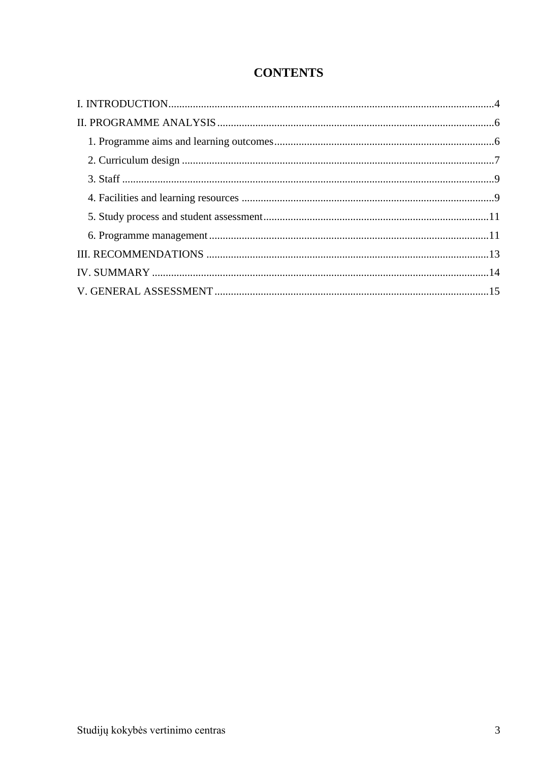# **CONTENTS**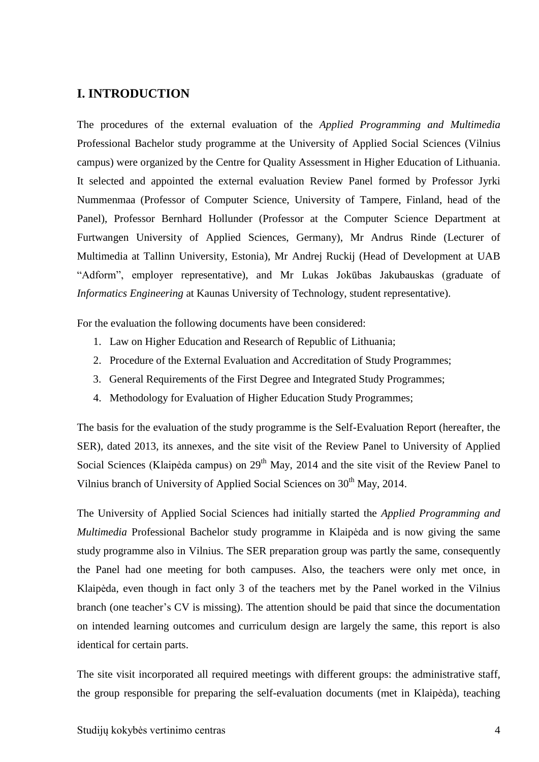### <span id="page-3-0"></span>**I. INTRODUCTION**

The procedures of the external evaluation of the *Applied Programming and Multimedia* Professional Bachelor study programme at the University of Applied Social Sciences (Vilnius campus) were organized by the Centre for Quality Assessment in Higher Education of Lithuania. It selected and appointed the external evaluation Review Panel formed by Professor Jyrki Nummenmaa (Professor of Computer Science, University of Tampere, Finland, head of the Panel), Professor Bernhard Hollunder (Professor at the Computer Science Department at Furtwangen University of Applied Sciences, Germany), Mr Andrus Rinde (Lecturer of Multimedia at Tallinn University, Estonia), Mr Andrej Ruckij (Head of Development at UAB "Adform", employer representative), and Mr Lukas Jokūbas Jakubauskas (graduate of *Informatics Engineering* at Kaunas University of Technology, student representative).

For the evaluation the following documents have been considered:

- 1. Law on Higher Education and Research of Republic of Lithuania;
- 2. Procedure of the External Evaluation and Accreditation of Study Programmes;
- 3. General Requirements of the First Degree and Integrated Study Programmes;
- 4. Methodology for Evaluation of Higher Education Study Programmes;

The basis for the evaluation of the study programme is the Self-Evaluation Report (hereafter, the SER), dated 2013, its annexes, and the site visit of the Review Panel to University of Applied Social Sciences (Klaipėda campus) on  $29<sup>th</sup>$  May, 2014 and the site visit of the Review Panel to Vilnius branch of University of Applied Social Sciences on 30<sup>th</sup> May, 2014.

The University of Applied Social Sciences had initially started the *Applied Programming and Multimedia* Professional Bachelor study programme in Klaipėda and is now giving the same study programme also in Vilnius. The SER preparation group was partly the same, consequently the Panel had one meeting for both campuses. Also, the teachers were only met once, in Klaipėda, even though in fact only 3 of the teachers met by the Panel worked in the Vilnius branch (one teacher's CV is missing). The attention should be paid that since the documentation on intended learning outcomes and curriculum design are largely the same, this report is also identical for certain parts.

The site visit incorporated all required meetings with different groups: the administrative staff, the group responsible for preparing the self-evaluation documents (met in Klaipėda), teaching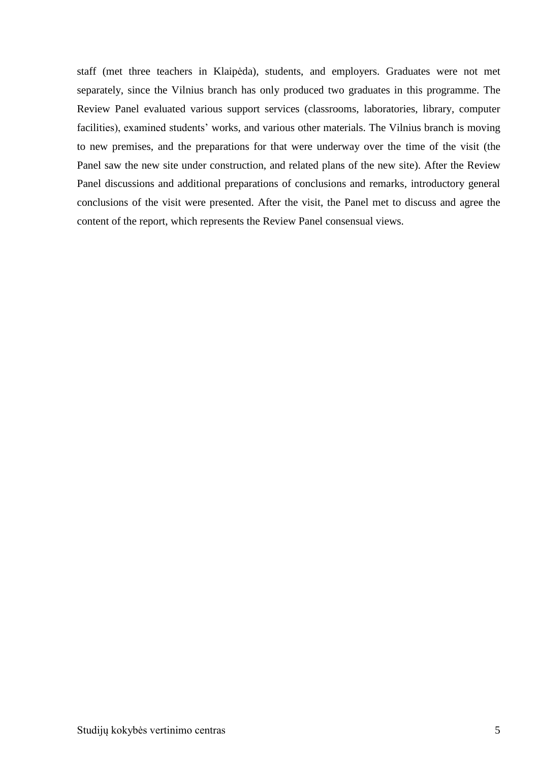<span id="page-4-0"></span>staff (met three teachers in Klaipėda), students, and employers. Graduates were not met separately, since the Vilnius branch has only produced two graduates in this programme. The Review Panel evaluated various support services (classrooms, laboratories, library, computer facilities), examined students' works, and various other materials. The Vilnius branch is moving to new premises, and the preparations for that were underway over the time of the visit (the Panel saw the new site under construction, and related plans of the new site). After the Review Panel discussions and additional preparations of conclusions and remarks, introductory general conclusions of the visit were presented. After the visit, the Panel met to discuss and agree the content of the report, which represents the Review Panel consensual views.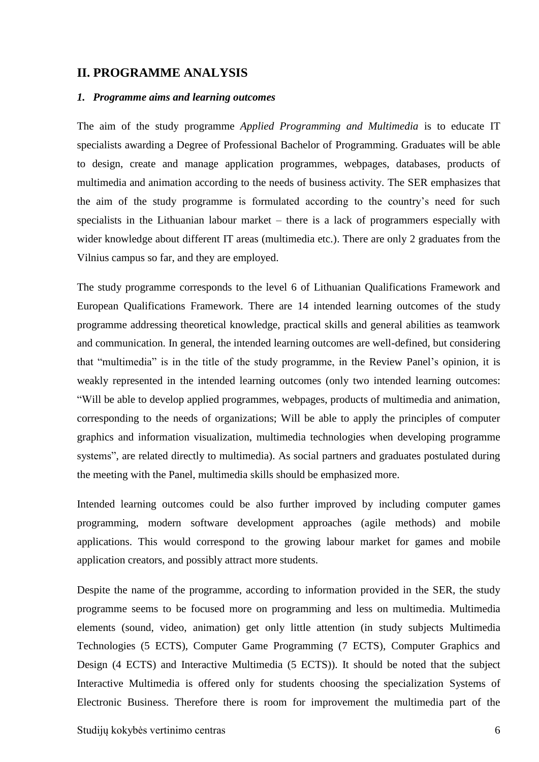#### **II. PROGRAMME ANALYSIS**

#### <span id="page-5-0"></span>*1. Programme aims and learning outcomes*

The aim of the study programme *Applied Programming and Multimedia* is to educate IT specialists awarding a Degree of Professional Bachelor of Programming. Graduates will be able to design, create and manage application programmes, webpages, databases, products of multimedia and animation according to the needs of business activity. The SER emphasizes that the aim of the study programme is formulated according to the country's need for such specialists in the Lithuanian labour market – there is a lack of programmers especially with wider knowledge about different IT areas (multimedia etc.). There are only 2 graduates from the Vilnius campus so far, and they are employed.

The study programme corresponds to the level 6 of Lithuanian Qualifications Framework and European Qualifications Framework. There are 14 intended learning outcomes of the study programme addressing theoretical knowledge, practical skills and general abilities as teamwork and communication. In general, the intended learning outcomes are well-defined, but considering that "multimedia" is in the title of the study programme, in the Review Panel's opinion, it is weakly represented in the intended learning outcomes (only two intended learning outcomes: "Will be able to develop applied programmes, webpages, products of multimedia and animation, corresponding to the needs of organizations; Will be able to apply the principles of computer graphics and information visualization, multimedia technologies when developing programme systems", are related directly to multimedia). As social partners and graduates postulated during the meeting with the Panel, multimedia skills should be emphasized more.

Intended learning outcomes could be also further improved by including computer games programming, modern software development approaches (agile methods) and mobile applications. This would correspond to the growing labour market for games and mobile application creators, and possibly attract more students.

Despite the name of the programme, according to information provided in the SER, the study programme seems to be focused more on programming and less on multimedia. Multimedia elements (sound, video, animation) get only little attention (in study subjects Multimedia Technologies (5 ECTS), Computer Game Programming (7 ECTS), Computer Graphics and Design (4 ECTS) and Interactive Multimedia (5 ECTS)). It should be noted that the subject Interactive Multimedia is offered only for students choosing the specialization Systems of Electronic Business. Therefore there is room for improvement the multimedia part of the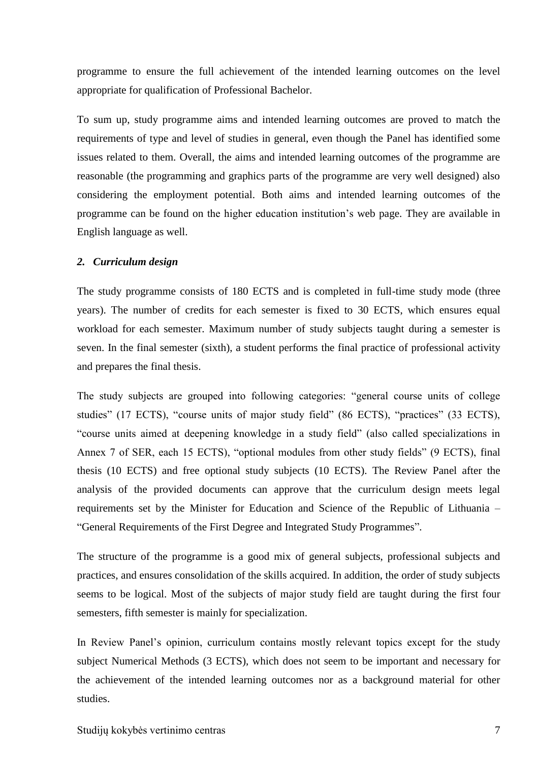programme to ensure the full achievement of the intended learning outcomes on the level appropriate for qualification of Professional Bachelor.

To sum up, study programme aims and intended learning outcomes are proved to match the requirements of type and level of studies in general, even though the Panel has identified some issues related to them. Overall, the aims and intended learning outcomes of the programme are reasonable (the programming and graphics parts of the programme are very well designed) also considering the employment potential. Both aims and intended learning outcomes of the programme can be found on the higher education institution's web page. They are available in English language as well.

#### <span id="page-6-0"></span>*2. Curriculum design*

The study programme consists of 180 ECTS and is completed in full-time study mode (three years). The number of credits for each semester is fixed to 30 ECTS, which ensures equal workload for each semester. Maximum number of study subjects taught during a semester is seven. In the final semester (sixth), a student performs the final practice of professional activity and prepares the final thesis.

The study subjects are grouped into following categories: "general course units of college studies" (17 ECTS), "course units of major study field" (86 ECTS), "practices" (33 ECTS), "course units aimed at deepening knowledge in a study field" (also called specializations in Annex 7 of SER, each 15 ECTS), "optional modules from other study fields" (9 ECTS), final thesis (10 ECTS) and free optional study subjects (10 ECTS). The Review Panel after the analysis of the provided documents can approve that the curriculum design meets legal requirements set by the Minister for Education and Science of the Republic of Lithuania – "General Requirements of the First Degree and Integrated Study Programmes".

The structure of the programme is a good mix of general subjects, professional subjects and practices, and ensures consolidation of the skills acquired. In addition, the order of study subjects seems to be logical. Most of the subjects of major study field are taught during the first four semesters, fifth semester is mainly for specialization.

In Review Panel's opinion, curriculum contains mostly relevant topics except for the study subject Numerical Methods (3 ECTS), which does not seem to be important and necessary for the achievement of the intended learning outcomes nor as a background material for other studies.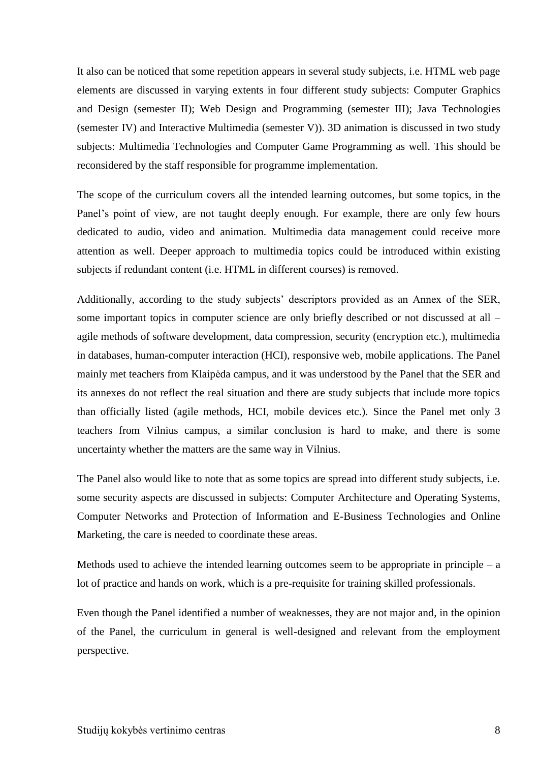It also can be noticed that some repetition appears in several study subjects, i.e. HTML web page elements are discussed in varying extents in four different study subjects: Computer Graphics and Design (semester II); Web Design and Programming (semester III); Java Technologies (semester IV) and Interactive Multimedia (semester V)). 3D animation is discussed in two study subjects: Multimedia Technologies and Computer Game Programming as well. This should be reconsidered by the staff responsible for programme implementation.

The scope of the curriculum covers all the intended learning outcomes, but some topics, in the Panel's point of view, are not taught deeply enough. For example, there are only few hours dedicated to audio, video and animation. Multimedia data management could receive more attention as well. Deeper approach to multimedia topics could be introduced within existing subjects if redundant content (i.e. HTML in different courses) is removed.

Additionally, according to the study subjects' descriptors provided as an Annex of the SER, some important topics in computer science are only briefly described or not discussed at all – agile methods of software development, data compression, security (encryption etc.), multimedia in databases, human-computer interaction (HCI), responsive web, mobile applications. The Panel mainly met teachers from Klaipėda campus, and it was understood by the Panel that the SER and its annexes do not reflect the real situation and there are study subjects that include more topics than officially listed (agile methods, HCI, mobile devices etc.). Since the Panel met only 3 teachers from Vilnius campus, a similar conclusion is hard to make, and there is some uncertainty whether the matters are the same way in Vilnius.

The Panel also would like to note that as some topics are spread into different study subjects, i.e. some security aspects are discussed in subjects: Computer Architecture and Operating Systems, Computer Networks and Protection of Information and E-Business Technologies and Online Marketing, the care is needed to coordinate these areas.

Methods used to achieve the intended learning outcomes seem to be appropriate in principle  $-$  a lot of practice and hands on work, which is a pre-requisite for training skilled professionals.

Even though the Panel identified a number of weaknesses, they are not major and, in the opinion of the Panel, the curriculum in general is well-designed and relevant from the employment perspective.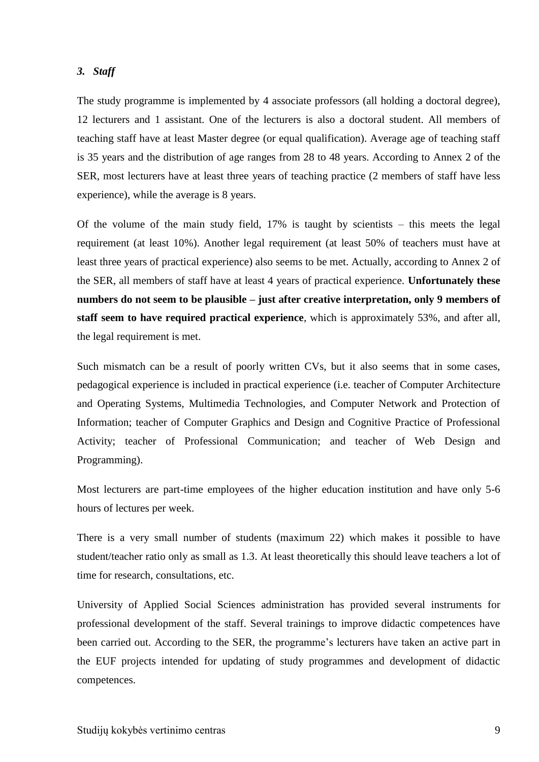#### <span id="page-8-0"></span>*3. Staff*

<span id="page-8-1"></span>The study programme is implemented by 4 associate professors (all holding a doctoral degree), 12 lecturers and 1 assistant. One of the lecturers is also a doctoral student. All members of teaching staff have at least Master degree (or equal qualification). Average age of teaching staff is 35 years and the distribution of age ranges from 28 to 48 years. According to Annex 2 of the SER, most lecturers have at least three years of teaching practice (2 members of staff have less experience), while the average is 8 years.

Of the volume of the main study field, 17% is taught by scientists – this meets the legal requirement (at least 10%). Another legal requirement (at least 50% of teachers must have at least three years of practical experience) also seems to be met. Actually, according to Annex 2 of the SER, all members of staff have at least 4 years of practical experience. **Unfortunately these numbers do not seem to be plausible – just after creative interpretation, only 9 members of staff seem to have required practical experience**, which is approximately 53%, and after all, the legal requirement is met.

Such mismatch can be a result of poorly written CVs, but it also seems that in some cases, pedagogical experience is included in practical experience (i.e. teacher of Computer Architecture and Operating Systems, Multimedia Technologies, and Computer Network and Protection of Information; teacher of Computer Graphics and Design and Cognitive Practice of Professional Activity; teacher of Professional Communication; and teacher of Web Design and Programming).

Most lecturers are part-time employees of the higher education institution and have only 5-6 hours of lectures per week.

There is a very small number of students (maximum 22) which makes it possible to have student/teacher ratio only as small as 1.3. At least theoretically this should leave teachers a lot of time for research, consultations, etc.

University of Applied Social Sciences administration has provided several instruments for professional development of the staff. Several trainings to improve didactic competences have been carried out. According to the SER, the programme's lecturers have taken an active part in the EUF projects intended for updating of study programmes and development of didactic competences.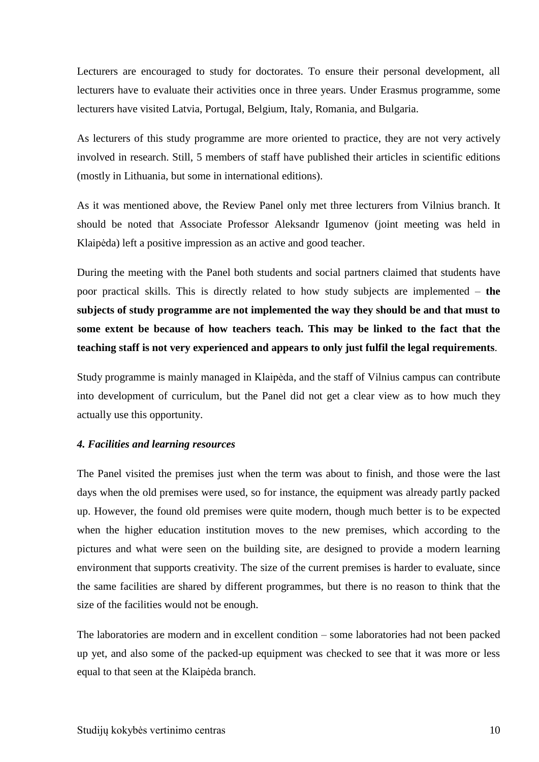Lecturers are encouraged to study for doctorates. To ensure their personal development, all lecturers have to evaluate their activities once in three years. Under Erasmus programme, some lecturers have visited Latvia, Portugal, Belgium, Italy, Romania, and Bulgaria.

As lecturers of this study programme are more oriented to practice, they are not very actively involved in research. Still, 5 members of staff have published their articles in scientific editions (mostly in Lithuania, but some in international editions).

As it was mentioned above, the Review Panel only met three lecturers from Vilnius branch. It should be noted that Associate Professor Aleksandr Igumenov (joint meeting was held in Klaipėda) left a positive impression as an active and good teacher.

During the meeting with the Panel both students and social partners claimed that students have poor practical skills. This is directly related to how study subjects are implemented – **the subjects of study programme are not implemented the way they should be and that must to some extent be because of how teachers teach. This may be linked to the fact that the teaching staff is not very experienced and appears to only just fulfil the legal requirements**.

Study programme is mainly managed in Klaipėda, and the staff of Vilnius campus can contribute into development of curriculum, but the Panel did not get a clear view as to how much they actually use this opportunity.

#### *4. Facilities and learning resources*

The Panel visited the premises just when the term was about to finish, and those were the last days when the old premises were used, so for instance, the equipment was already partly packed up. However, the found old premises were quite modern, though much better is to be expected when the higher education institution moves to the new premises, which according to the pictures and what were seen on the building site, are designed to provide a modern learning environment that supports creativity. The size of the current premises is harder to evaluate, since the same facilities are shared by different programmes, but there is no reason to think that the size of the facilities would not be enough.

The laboratories are modern and in excellent condition – some laboratories had not been packed up yet, and also some of the packed-up equipment was checked to see that it was more or less equal to that seen at the Klaipėda branch.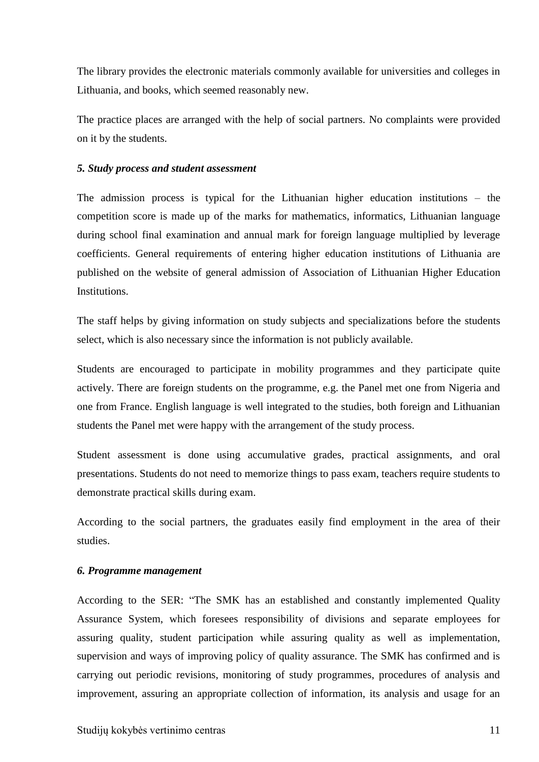The library provides the electronic materials commonly available for universities and colleges in Lithuania, and books, which seemed reasonably new.

The practice places are arranged with the help of social partners. No complaints were provided on it by the students.

#### <span id="page-10-0"></span>*5. Study process and student assessment*

The admission process is typical for the Lithuanian higher education institutions – the competition score is made up of the marks for mathematics, informatics, Lithuanian language during school final examination and annual mark for foreign language multiplied by leverage coefficients. General requirements of entering higher education institutions of Lithuania are published on the website of general admission of Association of Lithuanian Higher Education Institutions.

The staff helps by giving information on study subjects and specializations before the students select, which is also necessary since the information is not publicly available.

Students are encouraged to participate in mobility programmes and they participate quite actively. There are foreign students on the programme, e.g. the Panel met one from Nigeria and one from France. English language is well integrated to the studies, both foreign and Lithuanian students the Panel met were happy with the arrangement of the study process.

Student assessment is done using accumulative grades, practical assignments, and oral presentations. Students do not need to memorize things to pass exam, teachers require students to demonstrate practical skills during exam.

According to the social partners, the graduates easily find employment in the area of their studies.

#### <span id="page-10-1"></span>*6. Programme management*

According to the SER: "The SMK has an established and constantly implemented Quality Assurance System, which foresees responsibility of divisions and separate employees for assuring quality, student participation while assuring quality as well as implementation, supervision and ways of improving policy of quality assurance. The SMK has confirmed and is carrying out periodic revisions, monitoring of study programmes, procedures of analysis and improvement, assuring an appropriate collection of information, its analysis and usage for an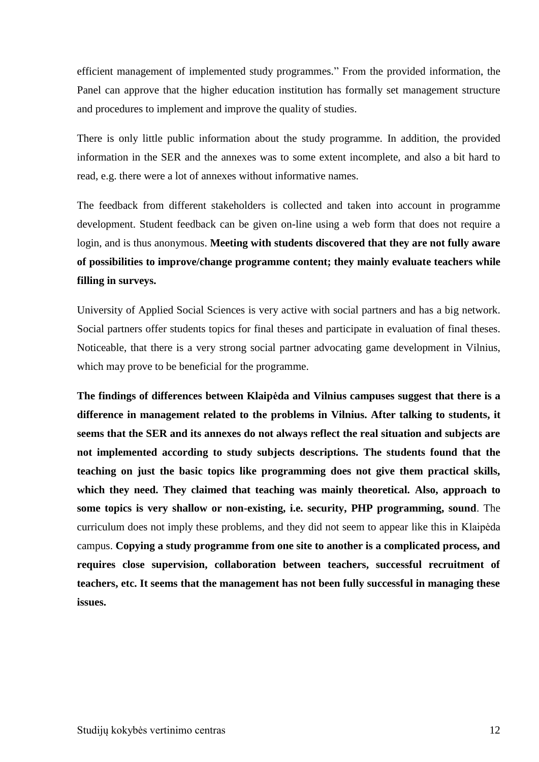efficient management of implemented study programmes." From the provided information, the Panel can approve that the higher education institution has formally set management structure and procedures to implement and improve the quality of studies.

There is only little public information about the study programme. In addition, the provided information in the SER and the annexes was to some extent incomplete, and also a bit hard to read, e.g. there were a lot of annexes without informative names.

The feedback from different stakeholders is collected and taken into account in programme development. Student feedback can be given on-line using a web form that does not require a login, and is thus anonymous. **Meeting with students discovered that they are not fully aware of possibilities to improve/change programme content; they mainly evaluate teachers while filling in surveys.**

University of Applied Social Sciences is very active with social partners and has a big network. Social partners offer students topics for final theses and participate in evaluation of final theses. Noticeable, that there is a very strong social partner advocating game development in Vilnius, which may prove to be beneficial for the programme.

<span id="page-11-0"></span>**The findings of differences between Klaipėda and Vilnius campuses suggest that there is a difference in management related to the problems in Vilnius. After talking to students, it seems that the SER and its annexes do not always reflect the real situation and subjects are not implemented according to study subjects descriptions. The students found that the teaching on just the basic topics like programming does not give them practical skills, which they need. They claimed that teaching was mainly theoretical. Also, approach to some topics is very shallow or non-existing, i.e. security, PHP programming, sound**. The curriculum does not imply these problems, and they did not seem to appear like this in Klaipėda campus. **Copying a study programme from one site to another is a complicated process, and requires close supervision, collaboration between teachers, successful recruitment of teachers, etc. It seems that the management has not been fully successful in managing these issues.**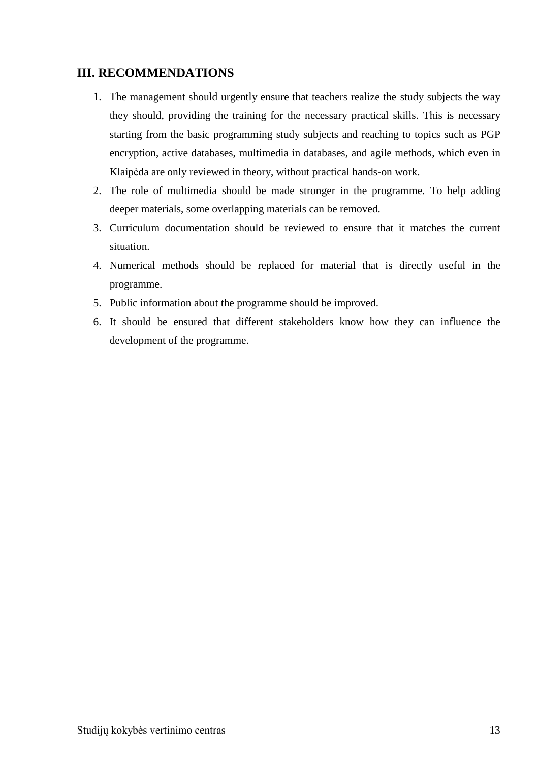### **III. RECOMMENDATIONS**

- 1. The management should urgently ensure that teachers realize the study subjects the way they should, providing the training for the necessary practical skills. This is necessary starting from the basic programming study subjects and reaching to topics such as PGP encryption, active databases, multimedia in databases, and agile methods, which even in Klaipėda are only reviewed in theory, without practical hands-on work.
- 2. The role of multimedia should be made stronger in the programme. To help adding deeper materials, some overlapping materials can be removed.
- 3. Curriculum documentation should be reviewed to ensure that it matches the current situation.
- 4. Numerical methods should be replaced for material that is directly useful in the programme.
- 5. Public information about the programme should be improved.
- <span id="page-12-0"></span>6. It should be ensured that different stakeholders know how they can influence the development of the programme.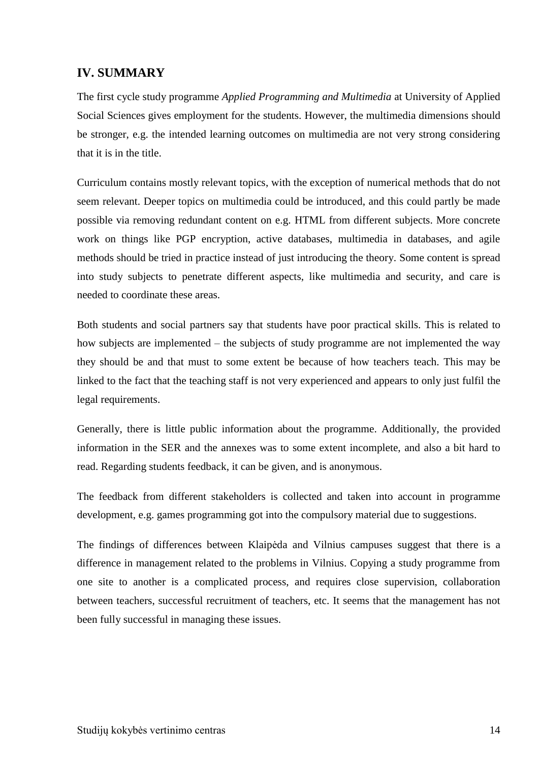### **IV. SUMMARY**

The first cycle study programme *Applied Programming and Multimedia* at University of Applied Social Sciences gives employment for the students. However, the multimedia dimensions should be stronger, e.g. the intended learning outcomes on multimedia are not very strong considering that it is in the title.

Curriculum contains mostly relevant topics, with the exception of numerical methods that do not seem relevant. Deeper topics on multimedia could be introduced, and this could partly be made possible via removing redundant content on e.g. HTML from different subjects. More concrete work on things like PGP encryption, active databases, multimedia in databases, and agile methods should be tried in practice instead of just introducing the theory. Some content is spread into study subjects to penetrate different aspects, like multimedia and security, and care is needed to coordinate these areas.

Both students and social partners say that students have poor practical skills. This is related to how subjects are implemented – the subjects of study programme are not implemented the way they should be and that must to some extent be because of how teachers teach. This may be linked to the fact that the teaching staff is not very experienced and appears to only just fulfil the legal requirements.

Generally, there is little public information about the programme. Additionally, the provided information in the SER and the annexes was to some extent incomplete, and also a bit hard to read. Regarding students feedback, it can be given, and is anonymous.

The feedback from different stakeholders is collected and taken into account in programme development, e.g. games programming got into the compulsory material due to suggestions.

<span id="page-13-0"></span>The findings of differences between Klaipėda and Vilnius campuses suggest that there is a difference in management related to the problems in Vilnius. Copying a study programme from one site to another is a complicated process, and requires close supervision, collaboration between teachers, successful recruitment of teachers, etc. It seems that the management has not been fully successful in managing these issues.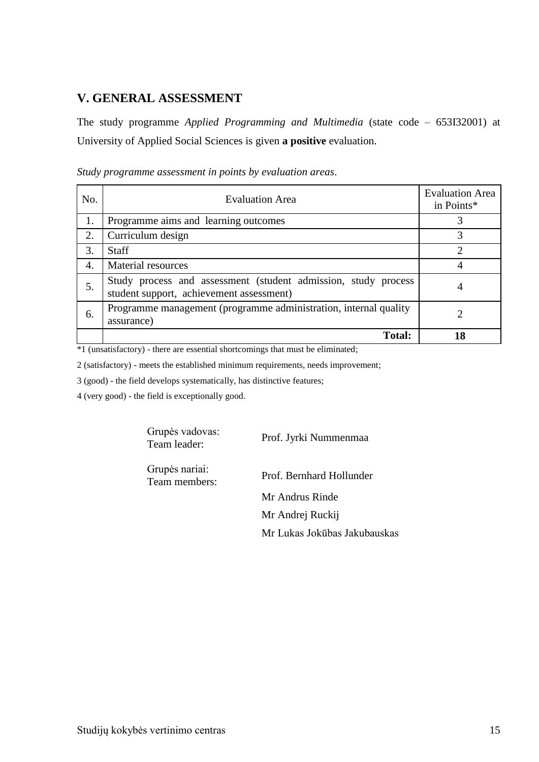### **V. GENERAL ASSESSMENT**

The study programme *Applied Programming and Multimedia* (state code – 653I32001) at University of Applied Social Sciences is given **a positive** evaluation.

| No. | <b>Evaluation Area</b>                                                                                     | <b>Evaluation Area</b><br>in Points* |
|-----|------------------------------------------------------------------------------------------------------------|--------------------------------------|
| 1.  | Programme aims and learning outcomes                                                                       | 3                                    |
| 2.  | Curriculum design                                                                                          |                                      |
| 3.  | <b>Staff</b>                                                                                               | ◠                                    |
| 4.  | Material resources                                                                                         |                                      |
| 5.  | Study process and assessment (student admission, study process<br>student support, achievement assessment) |                                      |
| 6.  | Programme management (programme administration, internal quality<br>assurance)                             |                                      |
|     | <b>Total:</b>                                                                                              | 18                                   |

*Study programme assessment in points by evaluation areas*.

\*1 (unsatisfactory) - there are essential shortcomings that must be eliminated;

2 (satisfactory) - meets the established minimum requirements, needs improvement;

3 (good) - the field develops systematically, has distinctive features;

4 (very good) - the field is exceptionally good.

Grupės vadovas: Team leader: Prof. Jyrki Nummenmaa

Grupės nariai:

Prof. Bernhard Hollunder

Mr Andrus Rinde Mr Andrej Ruckij Mr Lukas Jokūbas Jakubauskas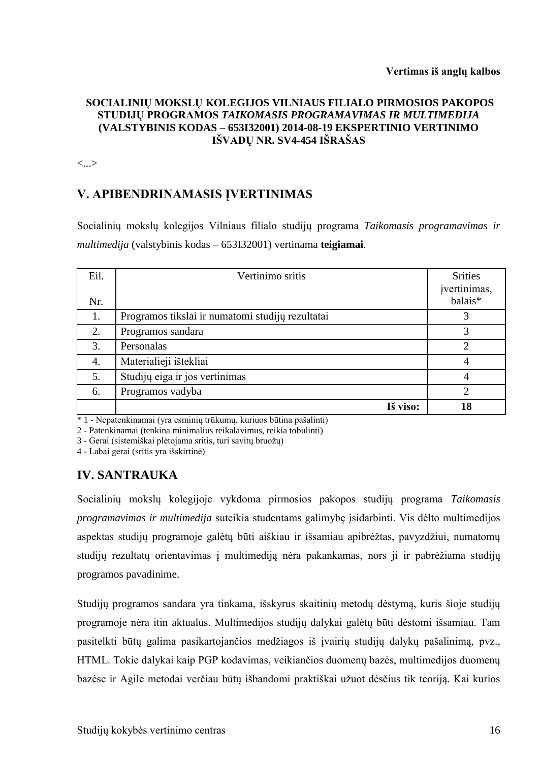#### **SOCIALINIŲ MOKSLŲ KOLEGIJOS VILNIAUS FILIALO PIRMOSIOS PAKOPOS STUDIJŲ PROGRAMOS** *TAIKOMASIS PROGRAMAVIMAS IR MULTIMEDIJA*  **(VALSTYBINIS KODAS – 653I32001) 2014-08-19 EKSPERTINIO VERTINIMO IŠVADŲ NR. SV4-454 IŠRAŠAS**

<...>

# **V. APIBENDRINAMASIS ĮVERTINIMAS**

Socialinių mokslų kolegijos Vilniaus filialo studijų programa *Taikomasis programavimas ir multimedija* (valstybinis kodas – 653I32001) vertinama **teigiamai**.

| Eil. | Vertinimo sritis                                 | <b>Srities</b><br>įvertinimas, |
|------|--------------------------------------------------|--------------------------------|
| Nr.  |                                                  | balais*                        |
| 1.   | Programos tikslai ir numatomi studijų rezultatai | 3                              |
| 2.   | Programos sandara                                | 3                              |
| 3.   | Personalas                                       | っ                              |
| 4.   | Materialieji ištekliai                           | $\overline{4}$                 |
| 5.   | Studijų eiga ir jos vertinimas                   | 4                              |
| 6.   | Programos vadyba                                 | 2                              |
|      | Iš viso:                                         | 18                             |

\* 1 - Nepatenkinamai (yra esminių trūkumų, kuriuos būtina pašalinti)

2 - Patenkinamai (tenkina minimalius reikalavimus, reikia tobulinti)

3 - Gerai (sistemiškai plėtojama sritis, turi savitų bruožų)

4 - Labai gerai (sritis yra išskirtinė)

# **IV. SANTRAUKA**

Socialinių mokslų kolegijoje vykdoma pirmosios pakopos studijų programa *Taikomasis programavimas ir multimedija* suteikia studentams galimybę įsidarbinti. Vis dėlto multimedijos aspektas studijų programoje galėtų būti aiškiau ir išsamiau apibrėžtas, pavyzdžiui, numatomų studijų rezultatų orientavimas į multimediją nėra pakankamas, nors ji ir pabrėžiama studijų programos pavadinime.

Studijų programos sandara yra tinkama, išskyrus skaitinių metodų dėstymą, kuris šioje studijų programoje nėra itin aktualus. Multimedijos studijų dalykai galėtų būti dėstomi išsamiau. Tam pasitelkti būtų galima pasikartojančios medžiagos iš įvairių studijų dalykų pašalinimą, pvz., HTML. Tokie dalykai kaip PGP kodavimas, veikiančios duomenų bazės, multimedijos duomenų bazėse ir Agile metodai verčiau būtų išbandomi praktiškai užuot dėsčius tik teoriją. Kai kurios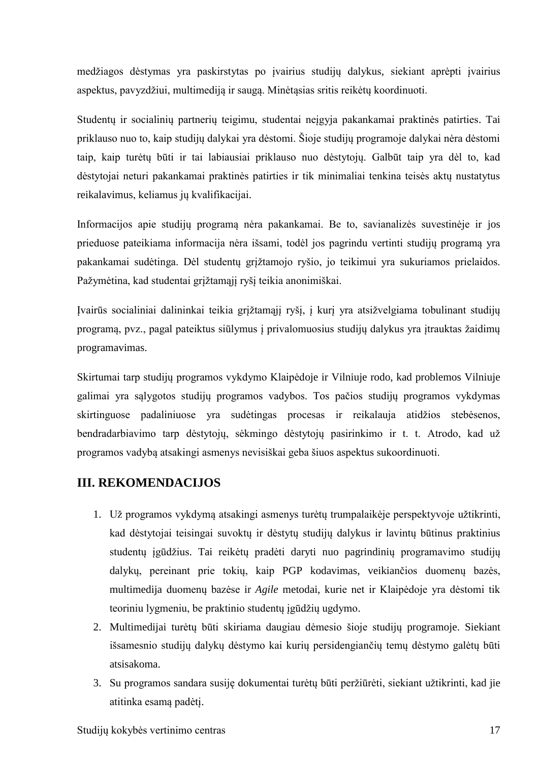medžiagos dėstymas yra paskirstytas po įvairius studijų dalykus, siekiant aprėpti įvairius aspektus, pavyzdžiui, multimediją ir saugą. Minėtąsias sritis reikėtų koordinuoti.

Studentų ir socialinių partnerių teigimu, studentai neįgyja pakankamai praktinės patirties. Tai priklauso nuo to, kaip studijų dalykai yra dėstomi. Šioje studijų programoje dalykai nėra dėstomi taip, kaip turėtų būti ir tai labiausiai priklauso nuo dėstytojų. Galbūt taip yra dėl to, kad dėstytojai neturi pakankamai praktinės patirties ir tik minimaliai tenkina teisės aktų nustatytus reikalavimus, keliamus jų kvalifikacijai.

Informacijos apie studijų programą nėra pakankamai. Be to, savianalizės suvestinėje ir jos prieduose pateikiama informacija nėra išsami, todėl jos pagrindu vertinti studijų programą yra pakankamai sudėtinga. Dėl studentų grįžtamojo ryšio, jo teikimui yra sukuriamos prielaidos. Pažymėtina, kad studentai grįžtamąjį ryšį teikia anonimiškai.

Įvairūs socialiniai dalininkai teikia grįžtamąjį ryšį, į kurį yra atsižvelgiama tobulinant studijų programą, pvz., pagal pateiktus siūlymus į privalomuosius studijų dalykus yra įtrauktas žaidimų programavimas.

Skirtumai tarp studijų programos vykdymo Klaipėdoje ir Vilniuje rodo, kad problemos Vilniuje galimai yra sąlygotos studijų programos vadybos. Tos pačios studijų programos vykdymas skirtinguose padaliniuose yra sudėtingas procesas ir reikalauja atidžios stebėsenos, bendradarbiavimo tarp dėstytojų, sėkmingo dėstytojų pasirinkimo ir t. t. Atrodo, kad už programos vadybą atsakingi asmenys nevisiškai geba šiuos aspektus sukoordinuoti.

# **III. REKOMENDACIJOS**

- 1. Už programos vykdymą atsakingi asmenys turėtų trumpalaikėje perspektyvoje užtikrinti, kad dėstytojai teisingai suvoktų ir dėstytų studijų dalykus ir lavintų būtinus praktinius studentų įgūdžius. Tai reikėtų pradėti daryti nuo pagrindinių programavimo studijų dalykų, pereinant prie tokių, kaip PGP kodavimas, veikiančios duomenų bazės, multimedija duomenų bazėse ir *Agile* metodai, kurie net ir Klaipėdoje yra dėstomi tik teoriniu lygmeniu, be praktinio studentų įgūdžių ugdymo.
- 2. Multimedijai turėtų būti skiriama daugiau dėmesio šioje studijų programoje. Siekiant išsamesnio studijų dalykų dėstymo kai kurių persidengiančių temų dėstymo galėtų būti atsisakoma.
- 3. Su programos sandara susiję dokumentai turėtų būti peržiūrėti, siekiant užtikrinti, kad jie atitinka esamą padėtį.